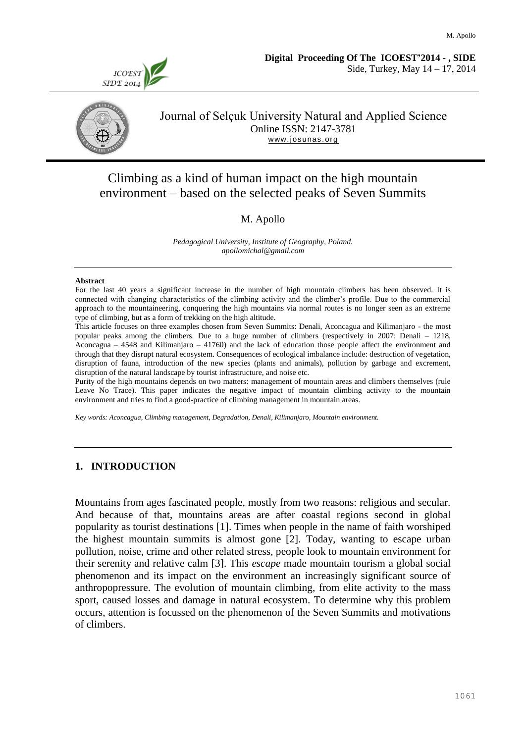



### Journal of Selçuk University Natural and Applied Science Online ISSN: 2147-3781 [www.josunas.org](http://www.josunas.org/)

# Climbing as a kind of human impact on the high mountain environment – based on the selected peaks of Seven Summits

### M. Apollo

*Pedagogical University, Institute of Geography, Poland. apollomichal@gmail.com*

#### **Abstract**

For the last 40 years a significant increase in the number of high mountain climbers has been observed. It is connected with changing characteristics of the climbing activity and the climber's profile. Due to the commercial approach to the mountaineering, conquering the high mountains via normal routes is no longer seen as an extreme type of climbing, but as a form of trekking on the high altitude.

This article focuses on three examples chosen from Seven Summits: Denali, Aconcagua and Kilimanjaro - the most popular peaks among the climbers. Due to a huge number of climbers (respectively in 2007: Denali – 1218, Aconcagua – 4548 and Kilimanjaro – 41760) and the lack of education those people affect the environment and through that they disrupt natural ecosystem. Consequences of ecological imbalance include: destruction of vegetation, disruption of fauna, introduction of the new species (plants and animals), pollution by garbage and excrement, disruption of the natural landscape by tourist infrastructure, and noise etc.

Purity of the high mountains depends on two matters: management of mountain areas and climbers themselves (rule Leave No Trace). This paper indicates the negative impact of mountain climbing activity to the mountain environment and tries to find a good-practice of climbing management in mountain areas.

*Key words: Aconcagua, Climbing management, Degradation, Denali, Kilimanjaro, Mountain environment.*

#### **1. INTRODUCTION**

Mountains from ages fascinated people, mostly from two reasons: religious and secular. And because of that, mountains areas are after coastal regions second in global popularity as tourist destinations [1]. Times when people in the name of faith worshiped the highest mountain summits is almost gone [2]. Today, wanting to escape urban pollution, noise, crime and other related stress, people look to mountain environment for their serenity and relative calm [3]. This *escape* made mountain tourism a global social phenomenon and its impact on the environment an increasingly significant source of anthropopressure. The evolution of mountain climbing, from elite activity to the mass sport, caused losses and damage in natural ecosystem. To determine why this problem occurs, attention is focussed on the phenomenon of the Seven Summits and motivations of climbers.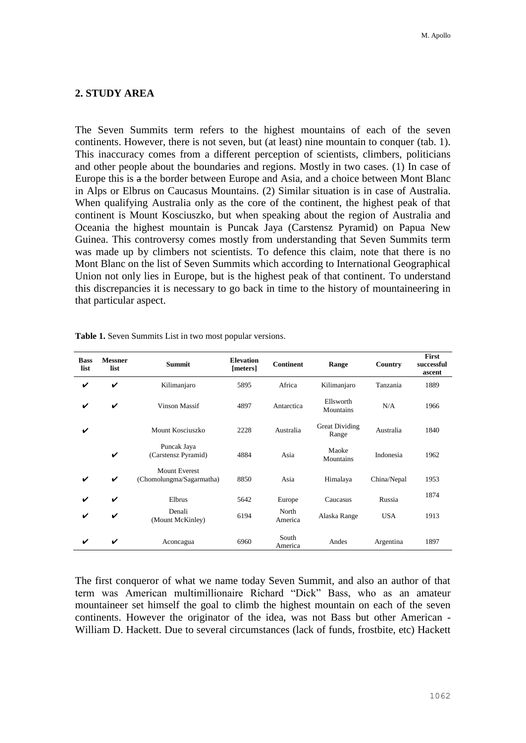## **2. STUDY AREA**

The Seven Summits term refers to the highest mountains of each of the seven continents. However, there is not seven, but (at least) nine mountain to conquer (tab. 1). This inaccuracy comes from a different perception of scientists, climbers, politicians and other people about the boundaries and regions. Mostly in two cases. (1) In case of Europe this is a the border between Europe and Asia, and a choice between Mont Blanc in Alps or Elbrus on Caucasus Mountains. (2) Similar situation is in case of Australia. When qualifying Australia only as the core of the continent, the highest peak of that continent is Mount Kosciuszko, but when speaking about the region of Australia and Oceania the highest mountain is Puncak Jaya (Carstensz Pyramid) on Papua New Guinea. This controversy comes mostly from understanding that Seven Summits term was made up by climbers not scientists. To defence this claim, note that there is no Mont Blanc on the list of Seven Summits which according to International Geographical Union not only lies in Europe, but is the highest peak of that continent. To understand this discrepancies it is necessary to go back in time to the history of mountaineering in that particular aspect.

| <b>Bass</b><br>list | <b>Messner</b><br>list | <b>Summit</b>                                    | <b>Elevation</b><br>[meters] | <b>Continent</b> | Range                   | Country     | First<br>successful<br>ascent |
|---------------------|------------------------|--------------------------------------------------|------------------------------|------------------|-------------------------|-------------|-------------------------------|
| V                   | V                      | Kilimanjaro                                      | 5895                         | Africa           | Kilimanjaro             | Tanzania    | 1889                          |
| V                   | V                      | <b>Vinson Massif</b>                             | 4897                         | Antarctica       | Ellsworth<br>Mountains  | N/A         | 1966                          |
| V                   |                        | Mount Kosciuszko                                 | 2228                         | Australia        | Great Dividing<br>Range | Australia   | 1840                          |
|                     | V                      | Puncak Jaya<br>(Carstensz Pyramid)               | 4884                         | Asia             | Maoke<br>Mountains      | Indonesia   | 1962                          |
| ✓                   | $\checkmark$           | <b>Mount Everest</b><br>(Chomolungma/Sagarmatha) | 8850                         | Asia             | Himalaya                | China/Nepal | 1953                          |
| ✓                   | ✓                      | Elbrus                                           | 5642                         | Europe           | Caucasus                | Russia      | 1874                          |
| ✔                   | V                      | Denali<br>(Mount McKinley)                       | 6194                         | North<br>America | Alaska Range            | <b>USA</b>  | 1913                          |
| V                   | ✓                      | Aconcagua                                        | 6960                         | South<br>America | Andes                   | Argentina   | 1897                          |

**Table 1.** Seven Summits List in two most popular versions.

The first conqueror of what we name today Seven Summit, and also an author of that term was American multimillionaire Richard "Dick" Bass, who as an amateur mountaineer set himself the goal to climb the highest mountain on each of the seven continents. However the originator of the idea, was not Bass but other American - William D. Hackett. Due to several circumstances (lack of funds, frostbite, etc) Hackett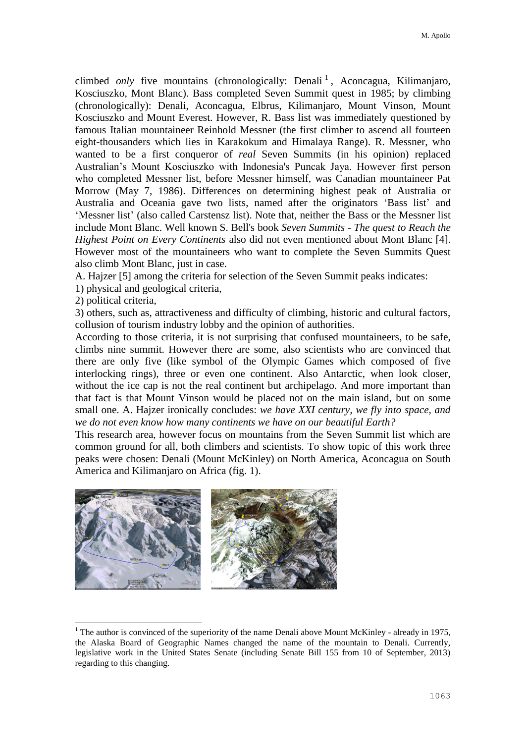climbed *only* five mountains (chronologically: Denali<sup>1</sup>, Aconcagua, Kilimanjaro, Kosciuszko, Mont Blanc). Bass completed Seven Summit quest in 1985; by climbing (chronologically): Denali, Aconcagua, Elbrus, Kilimanjaro, Mount Vinson, Mount Kosciuszko and Mount Everest. However, R. Bass list was immediately questioned by famous Italian mountaineer Reinhold Messner (the first climber to ascend all fourteen eight-thousanders which lies in Karakokum and Himalaya Range). R. Messner, who wanted to be a first conqueror of *real* Seven Summits (in his opinion) replaced Australian's Mount Kosciuszko with Indonesia's Puncak Jaya. However first person who completed Messner list, before Messner himself, was Canadian mountaineer Pat Morrow (May 7, 1986). Differences on determining highest peak of Australia or Australia and Oceania gave two lists, named after the originators 'Bass list' and 'Messner list' (also called Carstensz list). Note that, neither the Bass or the Messner list include Mont Blanc. Well known S. Bell's book *Seven Summits - The quest to Reach the Highest Point on Every Continents* also did not even mentioned about Mont Blanc [4]. However most of the mountaineers who want to complete the Seven Summits Quest also climb Mont Blanc, just in case.

A. Hajzer [5] among the criteria for selection of the Seven Summit peaks indicates:

1) physical and geological criteria,

2) political criteria,

Ē,

3) others, such as, attractiveness and difficulty of climbing, historic and cultural factors, collusion of tourism industry lobby and the opinion of authorities.

According to those criteria, it is not surprising that confused mountaineers, to be safe, climbs nine summit. However there are some, also scientists who are convinced that there are only five (like symbol of the Olympic Games which composed of five interlocking rings), three or even one continent. Also Antarctic, when look closer, without the ice cap is not the real continent but archipelago. And more important than that fact is that Mount Vinson would be placed not on the main island, but on some small one. A. Hajzer ironically concludes: *we have XXI century, we fly into space, and we do not even know how many continents we have on our beautiful Earth?*

This research area, however focus on mountains from the Seven Summit list which are common ground for all, both climbers and scientists. To show topic of this work three peaks were chosen: Denali (Mount McKinley) on North America, Aconcagua on South America and Kilimanjaro on Africa (fig. 1).



 $1$  The author is convinced of the superiority of the name Denali above Mount McKinley - already in 1975, the Alaska Board of Geographic Names changed the name of the mountain to Denali. Currently, legislative work in the United States Senate (including Senate Bill 155 from 10 of September, 2013) regarding to this changing.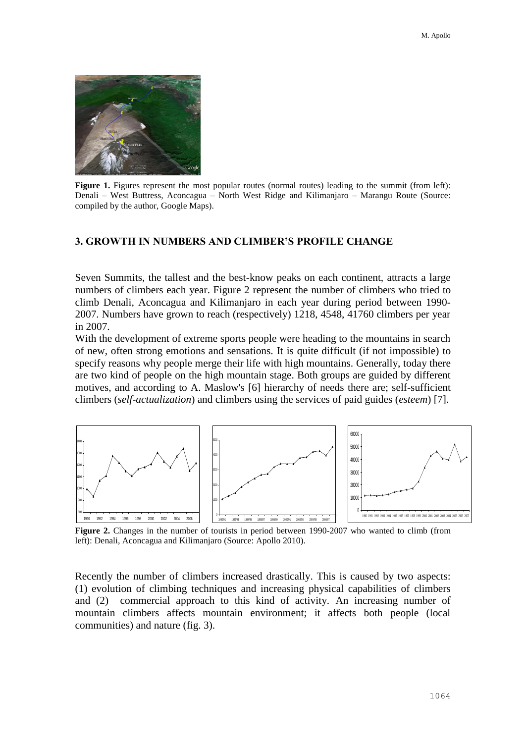

**Figure** 1. Figures represent the most popular routes (normal routes) leading to the summit (from left): Denali – West Buttress, Aconcagua – North West Ridge and Kilimanjaro – Marangu Route (Source: compiled by the author, Google Maps).

#### **3. GROWTH IN NUMBERS AND CLIMBER'S PROFILE CHANGE**

Seven Summits, the tallest and the best-know peaks on each continent, attracts a large numbers of climbers each year. Figure 2 represent the number of climbers who tried to climb Denali, Aconcagua and Kilimanjaro in each year during period between 1990- 2007. Numbers have grown to reach (respectively) 1218, 4548, 41760 climbers per year in 2007.

With the development of extreme sports people were heading to the mountains in search of new, often strong emotions and sensations. It is quite difficult (if not impossible) to specify reasons why people merge their life with high mountains. Generally, today there are two kind of people on the high mountain stage. Both groups are guided by different motives, and according to A. Maslow's [6] hierarchy of needs there are; self-sufficient climbers (*self-actualization*) and climbers using the services of paid guides (*esteem*) [7].



**Figure 2.** Changes in the number of tourists in period between 1990-2007 who wanted to climb (from left): Denali, Aconcagua and Kilimanjaro (Source: Apollo 2010).

Recently the number of climbers increased drastically. This is caused by two aspects: (1) evolution of climbing techniques and increasing physical capabilities of climbers and (2) commercial approach to this kind of activity. An increasing number of mountain climbers affects mountain environment; it affects both people (local communities) and nature (fig. 3).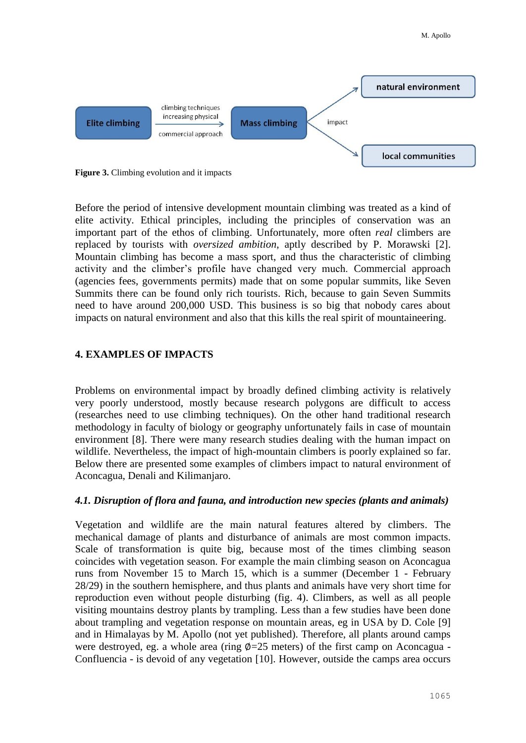

**Figure 3.** Climbing evolution and it impacts

Before the period of intensive development mountain climbing was treated as a kind of elite activity. Ethical principles, including the principles of conservation was an important part of the ethos of climbing. Unfortunately, more often *real* climbers are replaced by tourists with *oversized ambition*, aptly described by P. Morawski [2]. Mountain climbing has become a mass sport, and thus the characteristic of climbing activity and the climber's profile have changed very much. Commercial approach (agencies fees, governments permits) made that on some popular summits, like Seven Summits there can be found only rich tourists. Rich, because to gain Seven Summits need to have around 200,000 USD. This business is so big that nobody cares about impacts on natural environment and also that this kills the real spirit of mountaineering.

#### **4. EXAMPLES OF IMPACTS**

Problems on environmental impact by broadly defined climbing activity is relatively very poorly understood, mostly because research polygons are difficult to access (researches need to use climbing techniques). On the other hand traditional research methodology in faculty of biology or geography unfortunately fails in case of mountain environment [8]. There were many research studies dealing with the human impact on wildlife. Nevertheless, the impact of high-mountain climbers is poorly explained so far. Below there are presented some examples of climbers impact to natural environment of Aconcagua, Denali and Kilimanjaro.

#### *4.1. Disruption of flora and fauna, and introduction new species (plants and animals)*

Vegetation and wildlife are the main natural features altered by climbers. The mechanical damage of plants and disturbance of animals are most common impacts. Scale of transformation is quite big, because most of the times climbing season coincides with vegetation season. For example the main climbing season on Aconcagua runs from November 15 to March 15, which is a summer (December 1 - February 28/29) in the southern hemisphere, and thus plants and animals have very short time for reproduction even without people disturbing (fig. 4). Climbers, as well as all people visiting mountains destroy plants by trampling. Less than a few studies have been done about trampling and vegetation response on mountain areas, eg in USA by D. Cole [9] and in Himalayas by M. Apollo (not yet published). Therefore, all plants around camps were destroyed, eg. a whole area (ring  $\phi$ =25 meters) of the first camp on Aconcagua -Confluencia - is devoid of any vegetation [10]. However, outside the camps area occurs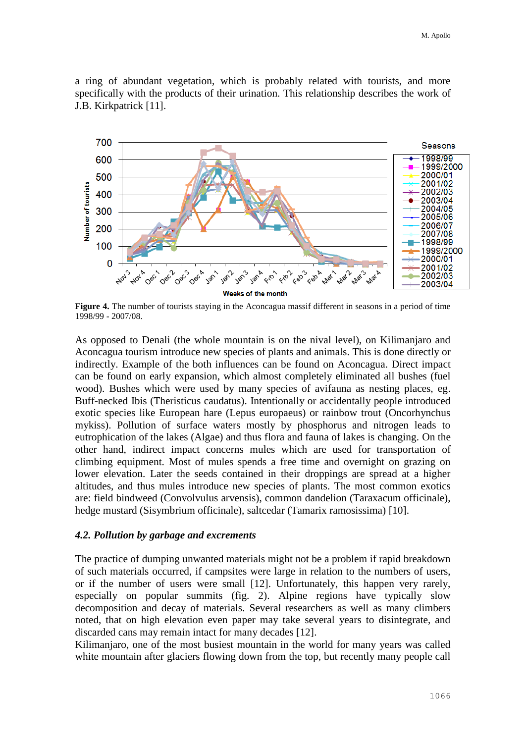a ring of abundant vegetation, which is probably related with tourists, and more specifically with the products of their urination. This relationship describes the work of J.B. Kirkpatrick [11].



**Figure 4.** The number of tourists staying in the Aconcagua massif different in seasons in a period of time 1998/99 - 2007/08.

As opposed to Denali (the whole mountain is on the nival level), on Kilimanjaro and Aconcagua tourism introduce new species of plants and animals. This is done directly or indirectly. Example of the both influences can be found on Aconcagua. Direct impact can be found on early expansion, which almost completely eliminated all bushes (fuel wood). Bushes which were used by many species of avifauna as nesting places, eg. Buff-necked Ibis (Theristicus caudatus). Intentionally or accidentally people introduced exotic species like European hare (Lepus europaeus) or rainbow trout (Oncorhynchus mykiss). Pollution of surface waters mostly by phosphorus and nitrogen leads to eutrophication of the lakes (Algae) and thus flora and fauna of lakes is changing. On the other hand, indirect impact concerns mules which are used for transportation of climbing equipment. Most of mules spends a free time and overnight on grazing on lower elevation. Later the seeds contained in their droppings are spread at a higher altitudes, and thus mules introduce new species of plants. The most common exotics are: field bindweed (Convolvulus arvensis), common dandelion (Taraxacum officinale), hedge mustard (Sisymbrium officinale), saltcedar (Tamarix ramosissima) [10].

#### *4.2. Pollution by garbage and excrements*

The practice of dumping unwanted materials might not be a problem if rapid breakdown of such materials occurred, if campsites were large in relation to the numbers of users, or if the number of users were small [12]. Unfortunately, this happen very rarely, especially on popular summits (fig. 2). Alpine regions have typically slow decomposition and decay of materials. Several researchers as well as many climbers noted, that on high elevation even paper may take several years to disintegrate, and discarded cans may remain intact for many decades [12].

Kilimanjaro, one of the most busiest mountain in the world for many years was called white mountain after glaciers flowing down from the top, but recently many people call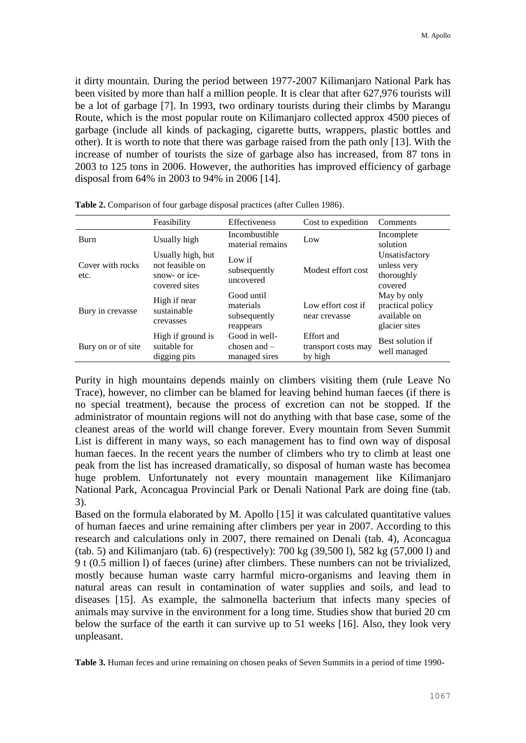it dirty mountain. During the period between 1977-2007 Kilimanjaro National Park has been visited by more than half a million people. It is clear that after 627,976 tourists will be a lot of garbage [7]. In 1993, two ordinary tourists during their climbs by Marangu Route, which is the most popular route on Kilimanjaro collected approx 4500 pieces of garbage (include all kinds of packaging, cigarette butts, wrappers, plastic bottles and other). It is worth to note that there was garbage raised from the path only [13]. With the increase of number of tourists the size of garbage also has increased, from 87 tons in 2003 to 125 tons in 2006. However, the authorities has improved efficiency of garbage disposal from 64% in 2003 to 94% in 2006 [14].

|                          | Feasibility                                                            | Effectiveness                                        | Cost to expedition                           | Comments                                                         |
|--------------------------|------------------------------------------------------------------------|------------------------------------------------------|----------------------------------------------|------------------------------------------------------------------|
| <b>Burn</b>              | Usually high                                                           | Incombustible<br>material remains                    | Low                                          | Incomplete<br>solution                                           |
| Cover with rocks<br>etc. | Usually high, but<br>not feasible on<br>snow- or ice-<br>covered sites | Low if<br>subsequently<br>uncovered                  | Modest effort cost                           | Unsatisfactory<br>unless very<br>thoroughly<br>covered           |
| Bury in crevasse         | High if near<br>sustainable<br>crevasses                               | Good until<br>materials<br>subsequently<br>reappears | Low effort cost if<br>near crevasse          | May by only<br>practical policy<br>available on<br>glacier sites |
| Bury on or of site       | High if ground is<br>suitable for<br>digging pits                      | Good in well-<br>chosen and $-$<br>managed sires     | Effort and<br>transport costs may<br>by high | Best solution if<br>well managed                                 |

**Table 2.** Comparison of four garbage disposal practices (after Cullen 1986).

Purity in high mountains depends mainly on climbers visiting them (rule Leave No Trace), however, no climber can be blamed for leaving behind human faeces (if there is no special treatment), because the process of excretion can not be stopped. If the administrator of mountain regions will not do anything with that base case, some of the cleanest areas of the world will change forever. Every mountain from Seven Summit List is different in many ways, so each management has to find own way of disposal human faeces. In the recent years the number of climbers who try to climb at least one peak from the list has increased dramatically, so disposal of human waste has becomea huge problem. Unfortunately not every mountain management like Kilimanjaro National Park, Aconcagua Provincial Park or Denali National Park are doing fine (tab. 3).

Based on the formula elaborated by M. Apollo [15] it was calculated quantitative values of human faeces and urine remaining after climbers per year in 2007. According to this research and calculations only in 2007, there remained on Denali (tab. 4), Aconcagua (tab. 5) and Kilimanjaro (tab. 6) (respectively): 700 kg (39,500 l), 582 kg (57,000 l) and 9 t (0.5 million l) of faeces (urine) after climbers. These numbers can not be trivialized, mostly because human waste carry harmful micro-organisms and leaving them in natural areas can result in contamination of water supplies and soils, and lead to diseases [15]. As example, the salmonella bacterium that infects many species of animals may survive in the environment for a long time. Studies show that buried 20 cm below the surface of the earth it can survive up to 51 weeks [16]. Also, they look very unpleasant.

**Table 3.** Human feces and urine remaining on chosen peaks of Seven Summits in a period of time 1990-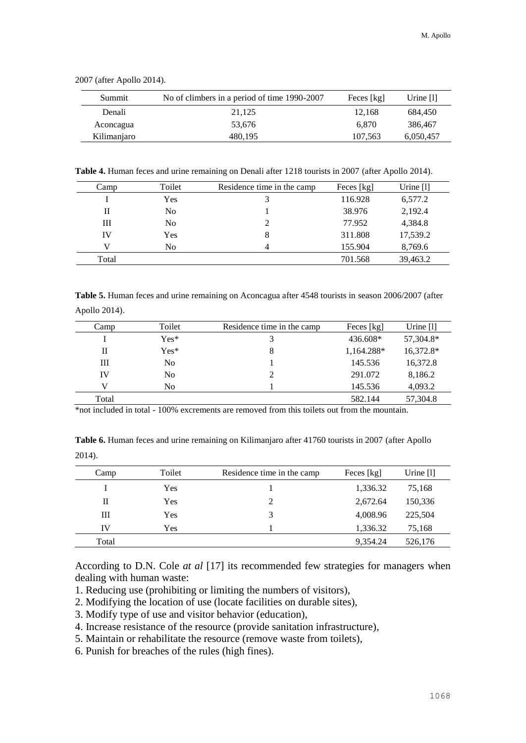| Summit      | No of climbers in a period of time 1990-2007 | Feces [kg] | Urine $[1]$ |
|-------------|----------------------------------------------|------------|-------------|
| Denali      | 21.125                                       | 12.168     | 684.450     |
| Aconcagua   | 53.676                                       | 6.870      | 386,467     |
| Kilimanjaro | 480.195                                      | 107.563    | 6,050,457   |

2007 (after Apollo 2014).

**Table 4.** Human feces and urine remaining on Denali after 1218 tourists in 2007 (after Apollo 2014).

| Camp  | Toilet         | Residence time in the camp | Feces [kg] | Urine $[1]$ |
|-------|----------------|----------------------------|------------|-------------|
|       | Yes            |                            | 116.928    | 6,577.2     |
| Н     | No             |                            | 38.976     | 2,192.4     |
| Ш     | N <sub>0</sub> | 2                          | 77.952     | 4,384.8     |
| IV    | Yes            | 8                          | 311.808    | 17,539.2    |
| V     | N <sub>0</sub> | 4                          | 155.904    | 8,769.6     |
| Total |                |                            | 701.568    | 39,463.2    |

**Table 5.** Human feces and urine remaining on Aconcagua after 4548 tourists in season 2006/2007 (after Apollo 2014).

| Camp  | Toilet         | Residence time in the camp | Feces [kg] | Urine $[1]$ |
|-------|----------------|----------------------------|------------|-------------|
|       | $Yes*$         |                            | 436.608*   | 57,304.8*   |
| Н     | $Yes*$         | 8                          | 1,164.288* | 16,372.8*   |
| Ш     | N <sub>0</sub> |                            | 145.536    | 16,372.8    |
| IV    | N <sub>0</sub> |                            | 291.072    | 8,186.2     |
|       | N <sub>0</sub> |                            | 145.536    | 4,093.2     |
| Total |                |                            | 582.144    | 57,304.8    |

\*not included in total - 100% excrements are removed from this toilets out from the mountain.

**Table 6.** Human feces and urine remaining on Kilimanjaro after 41760 tourists in 2007 (after Apollo 2014).

| Camp  | Toilet | Residence time in the camp | Feces [kg] | Urine $[1]$ |
|-------|--------|----------------------------|------------|-------------|
|       | Yes    |                            | 1,336.32   | 75,168      |
| П     | Yes    | $\mathcal{D}$              | 2.672.64   | 150,336     |
| Ш     | Yes    | 3                          | 4,008.96   | 225,504     |
| IV    | Yes    |                            | 1,336.32   | 75,168      |
| Total |        |                            | 9.354.24   | 526,176     |

According to D.N. Cole *at al* [17] its recommended few strategies for managers when dealing with human waste:

- 1. Reducing use (prohibiting or limiting the numbers of visitors),
- 2. Modifying the location of use (locate facilities on durable sites),
- 3. Modify type of use and visitor behavior (education),
- 4. Increase resistance of the resource (provide sanitation infrastructure),
- 5. Maintain or rehabilitate the resource (remove waste from toilets),
- 6. Punish for breaches of the rules (high fines).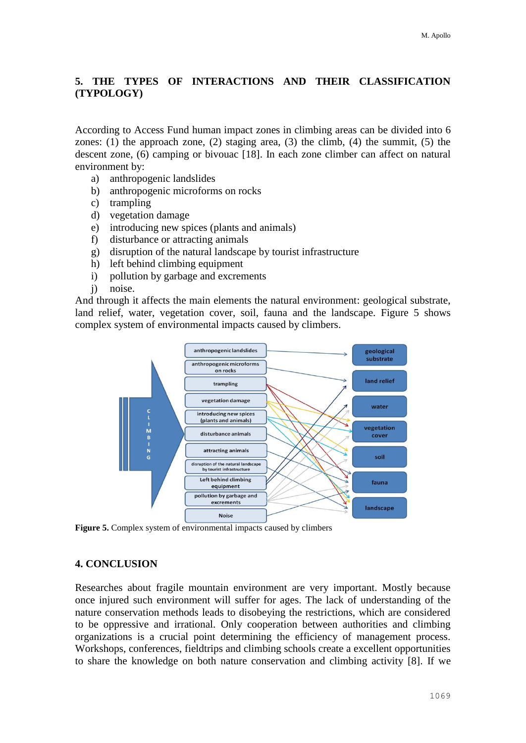# **5. THE TYPES OF INTERACTIONS AND THEIR CLASSIFICATION (TYPOLOGY)**

According to Access Fund human impact zones in climbing areas can be divided into 6 zones: (1) the approach zone, (2) staging area, (3) the climb, (4) the summit, (5) the descent zone, (6) camping or bivouac [18]. In each zone climber can affect on natural environment by:

- a) anthropogenic landslides
- b) anthropogenic microforms on rocks
- c) trampling
- d) vegetation damage
- e) introducing new spices (plants and animals)
- f) disturbance or attracting animals
- g) disruption of the natural landscape by tourist infrastructure
- h) left behind climbing equipment
- i) pollution by garbage and excrements
- j) noise.

And through it affects the main elements the natural environment: geological substrate, land relief, water, vegetation cover, soil, fauna and the landscape. Figure 5 shows complex system of environmental impacts caused by climbers.



**Figure 5.** Complex system of environmental impacts caused by climbers

#### **4. CONCLUSION**

Researches about fragile mountain environment are very important. Mostly because once injured such environment will suffer for ages. The lack of understanding of the nature conservation methods leads to disobeying the restrictions, which are considered to be oppressive and irrational. Only cooperation between authorities and climbing organizations is a crucial point determining the efficiency of management process. Workshops, conferences, fieldtrips and climbing schools create a excellent opportunities to share the knowledge on both nature conservation and climbing activity [8]. If we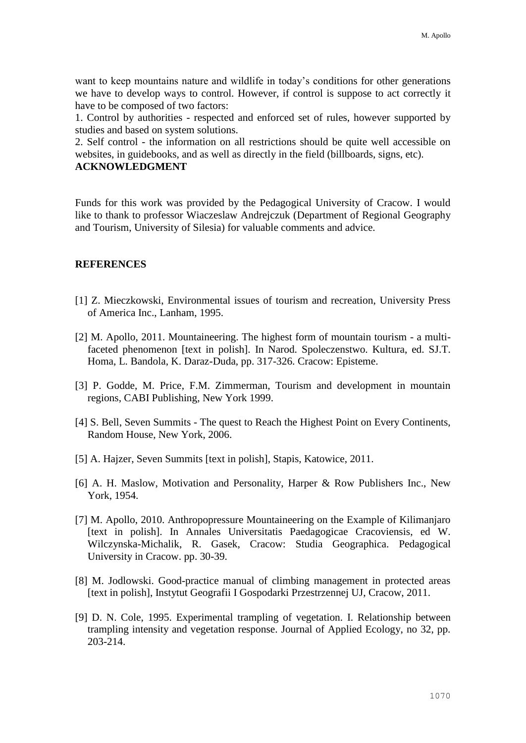want to keep mountains nature and wildlife in today's conditions for other generations we have to develop ways to control. However, if control is suppose to act correctly it have to be composed of two factors:

1. Control by authorities - respected and enforced set of rules, however supported by studies and based on system solutions.

2. Self control - the information on all restrictions should be quite well accessible on websites, in guidebooks, and as well as directly in the field (billboards, signs, etc). **ACKNOWLEDGMENT**

Funds for this work was provided by the Pedagogical University of Cracow. I would like to thank to professor Wiaczeslaw Andrejczuk (Department of Regional Geography and Tourism, University of Silesia) for valuable comments and advice.

#### **REFERENCES**

- [1] Z. Mieczkowski, Environmental issues of tourism and recreation, University Press of America Inc., Lanham, 1995.
- [2] M. Apollo, 2011. Mountaineering. The highest form of mountain tourism a multifaceted phenomenon [text in polish]. In Narod. Spoleczenstwo. Kultura, ed. SJ.T. Homa, L. Bandola, K. Daraz-Duda, pp. 317-326. Cracow: Episteme.
- [3] P. Godde, M. Price, F.M. Zimmerman, Tourism and development in mountain regions, CABI Publishing, New York 1999.
- [4] S. Bell, Seven Summits The quest to Reach the Highest Point on Every Continents, Random House, New York, 2006.
- [5] A. Hajzer, Seven Summits [text in polish], Stapis, Katowice, 2011.
- [6] A. H. Maslow, Motivation and Personality, Harper & Row Publishers Inc., New York, 1954.
- [7] M. Apollo, 2010. Anthropopressure Mountaineering on the Example of Kilimanjaro [text in polish]. In Annales Universitatis Paedagogicae Cracoviensis, ed W. Wilczynska-Michalik, R. Gasek, Cracow: Studia Geographica. Pedagogical University in Cracow. pp. 30-39.
- [8] M. Jodlowski. Good-practice manual of climbing management in protected areas [text in polish], Instytut Geografii I Gospodarki Przestrzennej UJ, Cracow, 2011.
- [9] D. N. Cole, 1995. Experimental trampling of vegetation. I. Relationship between trampling intensity and vegetation response. Journal of Applied Ecology, no 32, pp. 203-214.